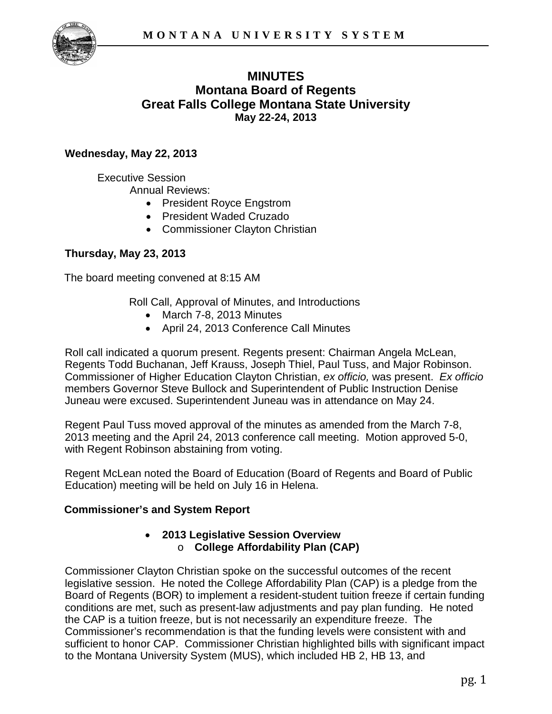

# **MINUTES Montana Board of Regents Great Falls College Montana State University May 22-24, 2013**

## **Wednesday, May 22, 2013**

Executive Session

Annual Reviews:

- President Royce Engstrom
- President Waded Cruzado
- Commissioner Clayton Christian

## **Thursday, May 23, 2013**

The board meeting convened at 8:15 AM

Roll Call, Approval of Minutes, and Introductions

- March 7-8, 2013 Minutes
- April 24, 2013 Conference Call Minutes

Roll call indicated a quorum present. Regents present: Chairman Angela McLean, Regents Todd Buchanan, Jeff Krauss, Joseph Thiel, Paul Tuss, and Major Robinson. Commissioner of Higher Education Clayton Christian, *ex officio,* was present. *Ex officio* members Governor Steve Bullock and Superintendent of Public Instruction Denise Juneau were excused. Superintendent Juneau was in attendance on May 24.

Regent Paul Tuss moved approval of the minutes as amended from the March 7-8, 2013 meeting and the April 24, 2013 conference call meeting. Motion approved 5-0, with Regent Robinson abstaining from voting.

Regent McLean noted the Board of Education (Board of Regents and Board of Public Education) meeting will be held on July 16 in Helena.

## **Commissioner's and System Report**

#### • **2013 Legislative Session Overview** o **College Affordability Plan (CAP)**

Commissioner Clayton Christian spoke on the successful outcomes of the recent legislative session. He noted the College Affordability Plan (CAP) is a pledge from the Board of Regents (BOR) to implement a resident-student tuition freeze if certain funding conditions are met, such as present-law adjustments and pay plan funding. He noted the CAP is a tuition freeze, but is not necessarily an expenditure freeze. The Commissioner's recommendation is that the funding levels were consistent with and sufficient to honor CAP. Commissioner Christian highlighted bills with significant impact to the Montana University System (MUS), which included HB 2, HB 13, and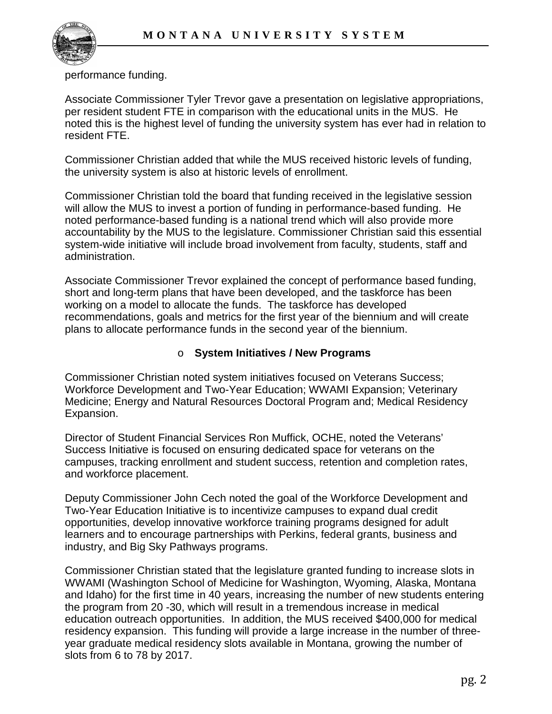

performance funding.

Associate Commissioner Tyler Trevor gave a presentation on legislative appropriations, per resident student FTE in comparison with the educational units in the MUS. He noted this is the highest level of funding the university system has ever had in relation to resident FTE.

Commissioner Christian added that while the MUS received historic levels of funding, the university system is also at historic levels of enrollment.

Commissioner Christian told the board that funding received in the legislative session will allow the MUS to invest a portion of funding in performance-based funding. He noted performance-based funding is a national trend which will also provide more accountability by the MUS to the legislature. Commissioner Christian said this essential system-wide initiative will include broad involvement from faculty, students, staff and administration.

Associate Commissioner Trevor explained the concept of performance based funding, short and long-term plans that have been developed, and the taskforce has been working on a model to allocate the funds. The taskforce has developed recommendations, goals and metrics for the first year of the biennium and will create plans to allocate performance funds in the second year of the biennium.

## o **System Initiatives / New Programs**

Commissioner Christian noted system initiatives focused on Veterans Success; Workforce Development and Two-Year Education; WWAMI Expansion; Veterinary Medicine; Energy and Natural Resources Doctoral Program and; Medical Residency Expansion.

Director of Student Financial Services Ron Muffick, OCHE, noted the Veterans' Success Initiative is focused on ensuring dedicated space for veterans on the campuses, tracking enrollment and student success, retention and completion rates, and workforce placement.

Deputy Commissioner John Cech noted the goal of the Workforce Development and Two-Year Education Initiative is to incentivize campuses to expand dual credit opportunities, develop innovative workforce training programs designed for adult learners and to encourage partnerships with Perkins, federal grants, business and industry, and Big Sky Pathways programs.

Commissioner Christian stated that the legislature granted funding to increase slots in WWAMI (Washington School of Medicine for Washington, Wyoming, Alaska, Montana and Idaho) for the first time in 40 years, increasing the number of new students entering the program from 20 -30, which will result in a tremendous increase in medical education outreach opportunities. In addition, the MUS received \$400,000 for medical residency expansion. This funding will provide a large increase in the number of threeyear graduate medical residency slots available in Montana, growing the number of slots from 6 to 78 by 2017.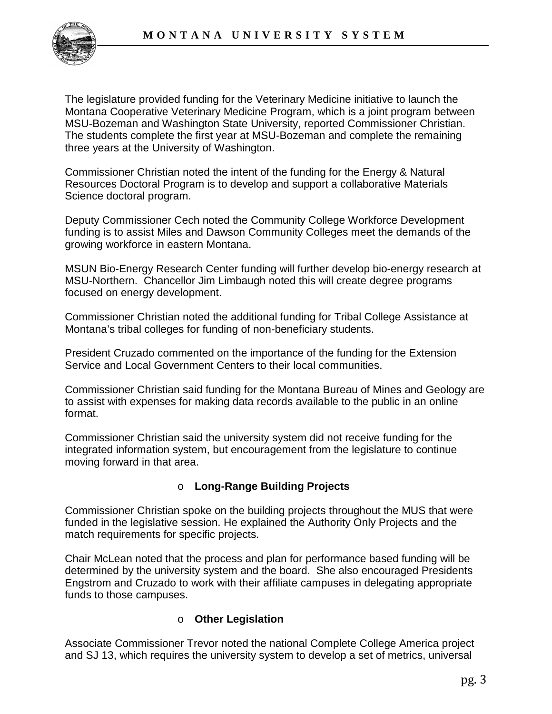

The legislature provided funding for the Veterinary Medicine initiative to launch the Montana Cooperative Veterinary Medicine Program, which is a joint program between MSU-Bozeman and Washington State University, reported Commissioner Christian. The students complete the first year at MSU-Bozeman and complete the remaining three years at the University of Washington.

Commissioner Christian noted the intent of the funding for the Energy & Natural Resources Doctoral Program is to develop and support a collaborative Materials Science doctoral program.

Deputy Commissioner Cech noted the Community College Workforce Development funding is to assist Miles and Dawson Community Colleges meet the demands of the growing workforce in eastern Montana.

MSUN Bio-Energy Research Center funding will further develop bio-energy research at MSU-Northern. Chancellor Jim Limbaugh noted this will create degree programs focused on energy development.

Commissioner Christian noted the additional funding for Tribal College Assistance at Montana's tribal colleges for funding of non-beneficiary students.

President Cruzado commented on the importance of the funding for the Extension Service and Local Government Centers to their local communities.

Commissioner Christian said funding for the Montana Bureau of Mines and Geology are to assist with expenses for making data records available to the public in an online format.

Commissioner Christian said the university system did not receive funding for the integrated information system, but encouragement from the legislature to continue moving forward in that area.

## o **Long-Range Building Projects**

Commissioner Christian spoke on the building projects throughout the MUS that were funded in the legislative session. He explained the Authority Only Projects and the match requirements for specific projects.

Chair McLean noted that the process and plan for performance based funding will be determined by the university system and the board. She also encouraged Presidents Engstrom and Cruzado to work with their affiliate campuses in delegating appropriate funds to those campuses.

## o **Other Legislation**

Associate Commissioner Trevor noted the national Complete College America project and SJ 13, which requires the university system to develop a set of metrics, universal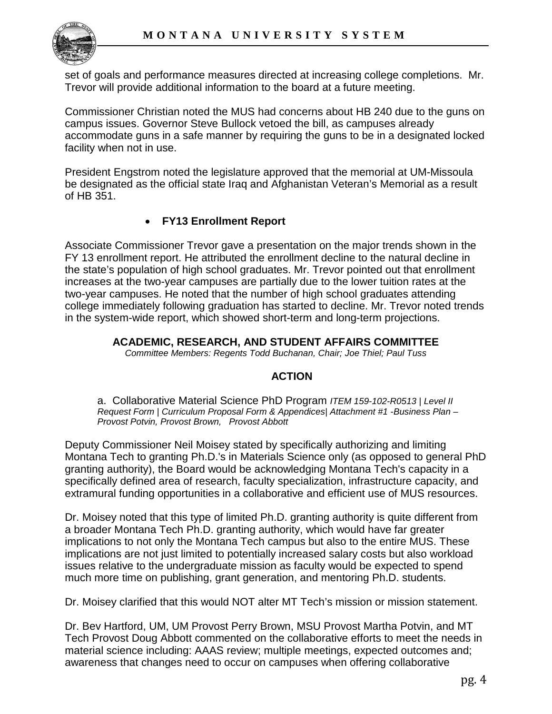

set of goals and performance measures directed at increasing college completions. Mr. Trevor will provide additional information to the board at a future meeting.

Commissioner Christian noted the MUS had concerns about HB 240 due to the guns on campus issues. Governor Steve Bullock vetoed the bill, as campuses already accommodate guns in a safe manner by requiring the guns to be in a designated locked facility when not in use.

President Engstrom noted the legislature approved that the memorial at UM-Missoula be designated as the official state Iraq and Afghanistan Veteran's Memorial as a result of HB 351.

## • **FY13 Enrollment Report**

Associate Commissioner Trevor gave a presentation on the major trends shown in the FY 13 enrollment report. He attributed the enrollment decline to the natural decline in the state's population of high school graduates. Mr. Trevor pointed out that enrollment increases at the two-year campuses are partially due to the lower tuition rates at the two-year campuses. He noted that the number of high school graduates attending college immediately following graduation has started to decline. Mr. Trevor noted trends in the system-wide report, which showed short-term and long-term projections.

#### **ACADEMIC, RESEARCH, AND STUDENT AFFAIRS COMMITTEE**

*Committee Members: Regents Todd Buchanan, Chair; Joe Thiel; Paul Tuss*

## **ACTION**

a. Collaborative Material Science PhD Program *ITEM 159-102-R0513 | Level II Request Form | Curriculum Proposal Form & Appendices| Attachment #1 -Business Plan – Provost Potvin, Provost Brown, Provost Abbott* 

Deputy Commissioner Neil Moisey stated by specifically authorizing and limiting Montana Tech to granting Ph.D.'s in Materials Science only (as opposed to general PhD granting authority), the Board would be acknowledging Montana Tech's capacity in a specifically defined area of research, faculty specialization, infrastructure capacity, and extramural funding opportunities in a collaborative and efficient use of MUS resources.

Dr. Moisey noted that this type of limited Ph.D. granting authority is quite different from a broader Montana Tech Ph.D. granting authority, which would have far greater implications to not only the Montana Tech campus but also to the entire MUS. These implications are not just limited to potentially increased salary costs but also workload issues relative to the undergraduate mission as faculty would be expected to spend much more time on publishing, grant generation, and mentoring Ph.D. students.

Dr. Moisey clarified that this would NOT alter MT Tech's mission or mission statement.

Dr. Bev Hartford, UM, UM Provost Perry Brown, MSU Provost Martha Potvin, and MT Tech Provost Doug Abbott commented on the collaborative efforts to meet the needs in material science including: AAAS review; multiple meetings, expected outcomes and; awareness that changes need to occur on campuses when offering collaborative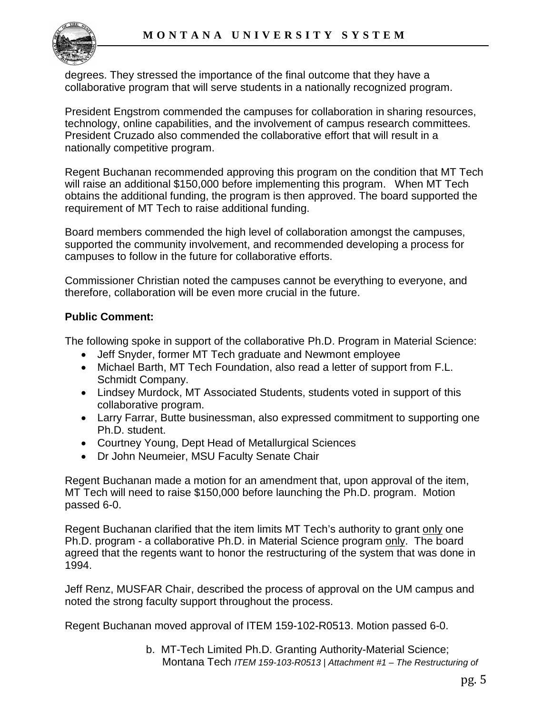

degrees. They stressed the importance of the final outcome that they have a collaborative program that will serve students in a nationally recognized program.

President Engstrom commended the campuses for collaboration in sharing resources, technology, online capabilities, and the involvement of campus research committees. President Cruzado also commended the collaborative effort that will result in a nationally competitive program.

Regent Buchanan recommended approving this program on the condition that MT Tech will raise an additional \$150,000 before implementing this program. When MT Tech obtains the additional funding, the program is then approved. The board supported the requirement of MT Tech to raise additional funding.

Board members commended the high level of collaboration amongst the campuses, supported the community involvement, and recommended developing a process for campuses to follow in the future for collaborative efforts.

Commissioner Christian noted the campuses cannot be everything to everyone, and therefore, collaboration will be even more crucial in the future.

## **Public Comment:**

The following spoke in support of the collaborative Ph.D. Program in Material Science:

- Jeff Snyder, former MT Tech graduate and Newmont employee
- Michael Barth, MT Tech Foundation, also read a letter of support from F.L. Schmidt Company.
- Lindsey Murdock, MT Associated Students, students voted in support of this collaborative program.
- Larry Farrar, Butte businessman, also expressed commitment to supporting one Ph.D. student.
- Courtney Young, Dept Head of Metallurgical Sciences
- Dr John Neumeier, MSU Faculty Senate Chair

Regent Buchanan made a motion for an amendment that, upon approval of the item, MT Tech will need to raise \$150,000 before launching the Ph.D. program. Motion passed 6-0.

Regent Buchanan clarified that the item limits MT Tech's authority to grant only one Ph.D. program - a collaborative Ph.D. in Material Science program only. The board agreed that the regents want to honor the restructuring of the system that was done in 1994.

Jeff Renz, MUSFAR Chair, described the process of approval on the UM campus and noted the strong faculty support throughout the process.

Regent Buchanan moved approval of ITEM 159-102-R0513. Motion passed 6-0.

b. MT-Tech Limited Ph.D. Granting Authority-Material Science; Montana Tech *ITEM 159-103-R0513 | Attachment #1 – The Restructuring of*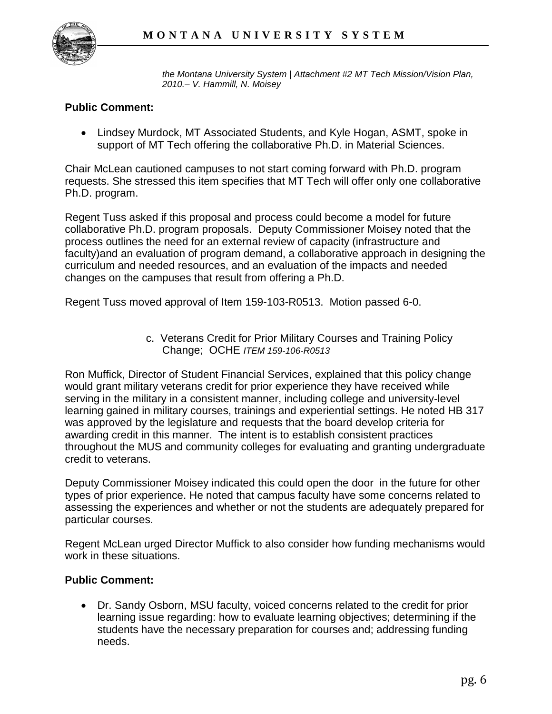

*the Montana University System | Attachment #2 MT Tech Mission/Vision Plan, 2010.– V. Hammill, N. Moisey*

#### **Public Comment:**

• Lindsey Murdock, MT Associated Students, and Kyle Hogan, ASMT, spoke in support of MT Tech offering the collaborative Ph.D. in Material Sciences.

Chair McLean cautioned campuses to not start coming forward with Ph.D. program requests. She stressed this item specifies that MT Tech will offer only one collaborative Ph.D. program.

Regent Tuss asked if this proposal and process could become a model for future collaborative Ph.D. program proposals. Deputy Commissioner Moisey noted that the process outlines the need for an external review of capacity (infrastructure and faculty)and an evaluation of program demand, a collaborative approach in designing the curriculum and needed resources, and an evaluation of the impacts and needed changes on the campuses that result from offering a Ph.D.

Regent Tuss moved approval of Item 159-103-R0513. Motion passed 6-0.

c. Veterans Credit for Prior Military Courses and Training Policy Change; OCHE *ITEM 159-106-R0513*

Ron Muffick, Director of Student Financial Services, explained that this policy change would grant military veterans credit for prior experience they have received while serving in the military in a consistent manner, including college and university-level learning gained in military courses, trainings and experiential settings. He noted HB 317 was approved by the legislature and requests that the board develop criteria for awarding credit in this manner. The intent is to establish consistent practices throughout the MUS and community colleges for evaluating and granting undergraduate credit to veterans.

Deputy Commissioner Moisey indicated this could open the door in the future for other types of prior experience. He noted that campus faculty have some concerns related to assessing the experiences and whether or not the students are adequately prepared for particular courses.

Regent McLean urged Director Muffick to also consider how funding mechanisms would work in these situations.

#### **Public Comment:**

• Dr. Sandy Osborn, MSU faculty, voiced concerns related to the credit for prior learning issue regarding: how to evaluate learning objectives; determining if the students have the necessary preparation for courses and; addressing funding needs.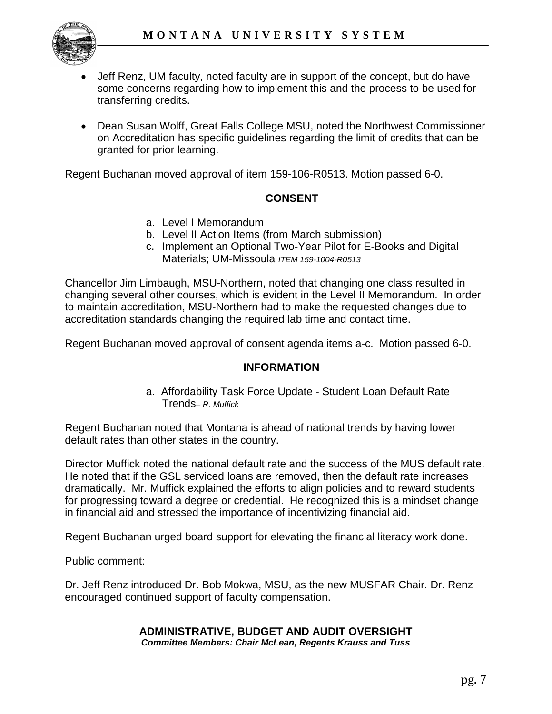

- Jeff Renz, UM faculty, noted faculty are in support of the concept, but do have some concerns regarding how to implement this and the process to be used for transferring credits.
- Dean Susan Wolff, Great Falls College MSU, noted the Northwest Commissioner on Accreditation has specific guidelines regarding the limit of credits that can be granted for prior learning.

Regent Buchanan moved approval of item 159-106-R0513. Motion passed 6-0.

#### **CONSENT**

- a. Level I Memorandum
- b. Level II Action Items (from March submission)
- c. Implement an Optional Two-Year Pilot for E-Books and Digital Materials; UM-Missoula *ITEM 159-1004-R0513*

Chancellor Jim Limbaugh, MSU-Northern, noted that changing one class resulted in changing several other courses, which is evident in the Level II Memorandum. In order to maintain accreditation, MSU-Northern had to make the requested changes due to accreditation standards changing the required lab time and contact time.

Regent Buchanan moved approval of consent agenda items a-c. Motion passed 6-0.

#### **INFORMATION**

a. Affordability Task Force Update - Student Loan Default Rate Trends*– R. Muffick*

Regent Buchanan noted that Montana is ahead of national trends by having lower default rates than other states in the country.

Director Muffick noted the national default rate and the success of the MUS default rate. He noted that if the GSL serviced loans are removed, then the default rate increases dramatically. Mr. Muffick explained the efforts to align policies and to reward students for progressing toward a degree or credential. He recognized this is a mindset change in financial aid and stressed the importance of incentivizing financial aid.

Regent Buchanan urged board support for elevating the financial literacy work done.

Public comment:

Dr. Jeff Renz introduced Dr. Bob Mokwa, MSU, as the new MUSFAR Chair. Dr. Renz encouraged continued support of faculty compensation.

#### **ADMINISTRATIVE, BUDGET AND AUDIT OVERSIGHT** *Committee Members: Chair McLean, Regents Krauss and Tuss*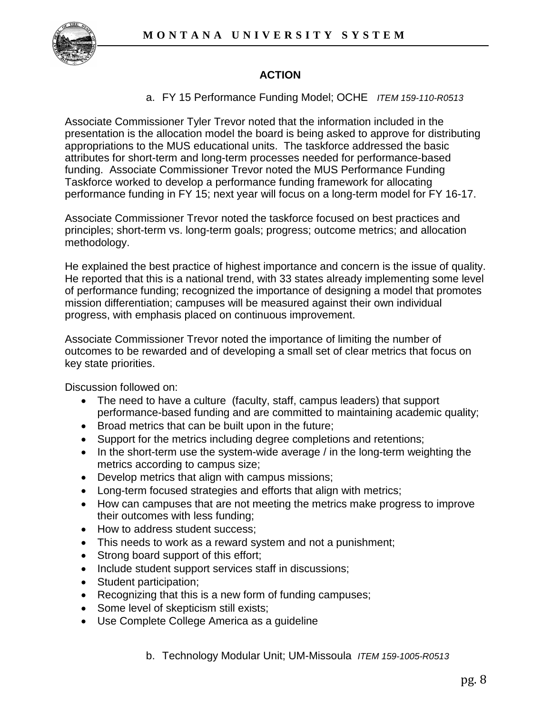

# **ACTION**

### a. FY 15 Performance Funding Model; OCHE *ITEM 159-110-R0513*

Associate Commissioner Tyler Trevor noted that the information included in the presentation is the allocation model the board is being asked to approve for distributing appropriations to the MUS educational units. The taskforce addressed the basic attributes for short-term and long-term processes needed for performance-based funding. Associate Commissioner Trevor noted the MUS Performance Funding Taskforce worked to develop a performance funding framework for allocating performance funding in FY 15; next year will focus on a long-term model for FY 16-17.

Associate Commissioner Trevor noted the taskforce focused on best practices and principles; short-term vs. long-term goals; progress; outcome metrics; and allocation methodology.

He explained the best practice of highest importance and concern is the issue of quality. He reported that this is a national trend, with 33 states already implementing some level of performance funding; recognized the importance of designing a model that promotes mission differentiation; campuses will be measured against their own individual progress, with emphasis placed on continuous improvement.

Associate Commissioner Trevor noted the importance of limiting the number of outcomes to be rewarded and of developing a small set of clear metrics that focus on key state priorities.

Discussion followed on:

- The need to have a culture (faculty, staff, campus leaders) that support performance-based funding and are committed to maintaining academic quality;
- Broad metrics that can be built upon in the future;
- Support for the metrics including degree completions and retentions;
- In the short-term use the system-wide average / in the long-term weighting the metrics according to campus size;
- Develop metrics that align with campus missions;
- Long-term focused strategies and efforts that align with metrics;
- How can campuses that are not meeting the metrics make progress to improve their outcomes with less funding;
- How to address student success;
- This needs to work as a reward system and not a punishment;
- Strong board support of this effort;
- Include student support services staff in discussions;
- Student participation;
- Recognizing that this is a new form of funding campuses;
- Some level of skepticism still exists;
- Use Complete College America as a guideline
	- b. Technology Modular Unit; UM-Missoula *ITEM 159-1005-R0513*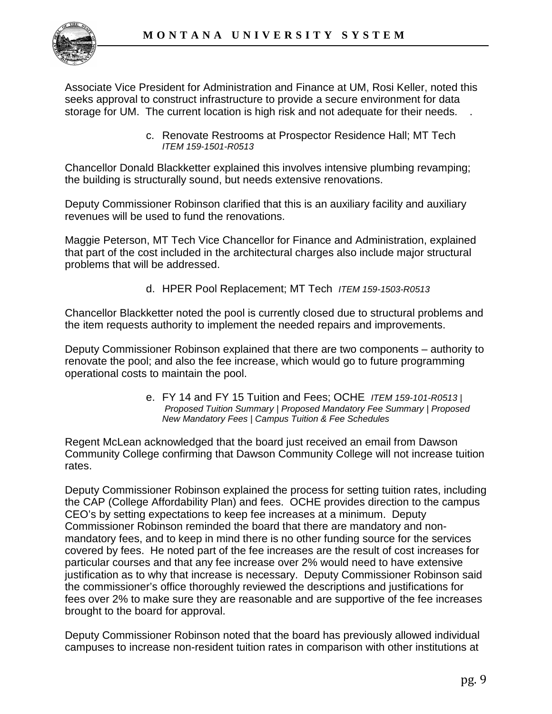

Associate Vice President for Administration and Finance at UM, Rosi Keller, noted this seeks approval to construct infrastructure to provide a secure environment for data storage for UM. The current location is high risk and not adequate for their needs. .

> c. Renovate Restrooms at Prospector Residence Hall; MT Tech *ITEM 159-1501-R0513*

Chancellor Donald Blackketter explained this involves intensive plumbing revamping; the building is structurally sound, but needs extensive renovations.

Deputy Commissioner Robinson clarified that this is an auxiliary facility and auxiliary revenues will be used to fund the renovations.

Maggie Peterson, MT Tech Vice Chancellor for Finance and Administration, explained that part of the cost included in the architectural charges also include major structural problems that will be addressed.

d. HPER Pool Replacement; MT Tech *ITEM 159-1503-R0513*

Chancellor Blackketter noted the pool is currently closed due to structural problems and the item requests authority to implement the needed repairs and improvements.

Deputy Commissioner Robinson explained that there are two components – authority to renovate the pool; and also the fee increase, which would go to future programming operational costs to maintain the pool.

> e. FY 14 and FY 15 Tuition and Fees; OCHE *ITEM 159-101-R0513 | Proposed Tuition Summary | Proposed Mandatory Fee Summary | Proposed New Mandatory Fees | Campus Tuition & Fee Schedules*

Regent McLean acknowledged that the board just received an email from Dawson Community College confirming that Dawson Community College will not increase tuition rates.

Deputy Commissioner Robinson explained the process for setting tuition rates, including the CAP (College Affordability Plan) and fees. OCHE provides direction to the campus CEO's by setting expectations to keep fee increases at a minimum. Deputy Commissioner Robinson reminded the board that there are mandatory and nonmandatory fees, and to keep in mind there is no other funding source for the services covered by fees. He noted part of the fee increases are the result of cost increases for particular courses and that any fee increase over 2% would need to have extensive justification as to why that increase is necessary. Deputy Commissioner Robinson said the commissioner's office thoroughly reviewed the descriptions and justifications for fees over 2% to make sure they are reasonable and are supportive of the fee increases brought to the board for approval.

Deputy Commissioner Robinson noted that the board has previously allowed individual campuses to increase non-resident tuition rates in comparison with other institutions at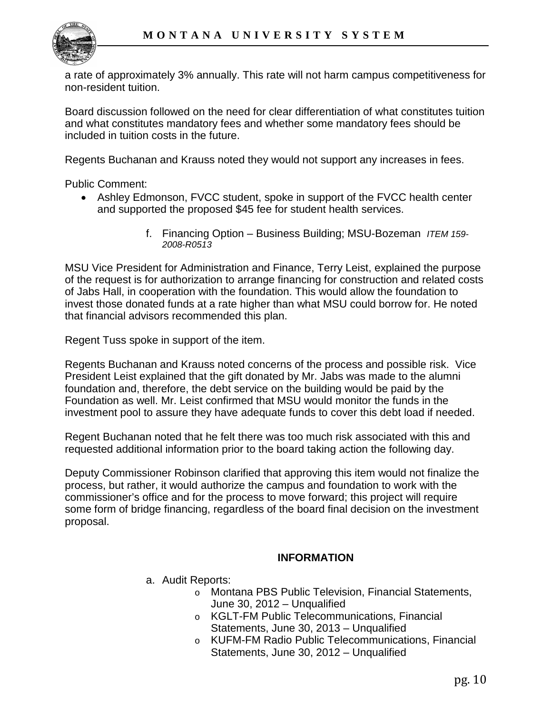

a rate of approximately 3% annually. This rate will not harm campus competitiveness for non-resident tuition.

Board discussion followed on the need for clear differentiation of what constitutes tuition and what constitutes mandatory fees and whether some mandatory fees should be included in tuition costs in the future.

Regents Buchanan and Krauss noted they would not support any increases in fees.

Public Comment:

- Ashley Edmonson, FVCC student, spoke in support of the FVCC health center and supported the proposed \$45 fee for student health services.
	- f. Financing Option Business Building; MSU-Bozeman *ITEM 159- 2008-R0513*

MSU Vice President for Administration and Finance, Terry Leist, explained the purpose of the request is for authorization to arrange financing for construction and related costs of Jabs Hall, in cooperation with the foundation. This would allow the foundation to invest those donated funds at a rate higher than what MSU could borrow for. He noted that financial advisors recommended this plan.

Regent Tuss spoke in support of the item.

Regents Buchanan and Krauss noted concerns of the process and possible risk. Vice President Leist explained that the gift donated by Mr. Jabs was made to the alumni foundation and, therefore, the debt service on the building would be paid by the Foundation as well. Mr. Leist confirmed that MSU would monitor the funds in the investment pool to assure they have adequate funds to cover this debt load if needed.

Regent Buchanan noted that he felt there was too much risk associated with this and requested additional information prior to the board taking action the following day.

Deputy Commissioner Robinson clarified that approving this item would not finalize the process, but rather, it would authorize the campus and foundation to work with the commissioner's office and for the process to move forward; this project will require some form of bridge financing, regardless of the board final decision on the investment proposal.

#### **INFORMATION**

- a. Audit Reports:
	- o Montana PBS Public Television, Financial Statements, June 30, 2012 – Unqualified
	- o KGLT-FM Public Telecommunications, Financial Statements, June 30, 2013 – Unqualified
	- o KUFM-FM Radio Public Telecommunications, Financial Statements, June 30, 2012 – Unqualified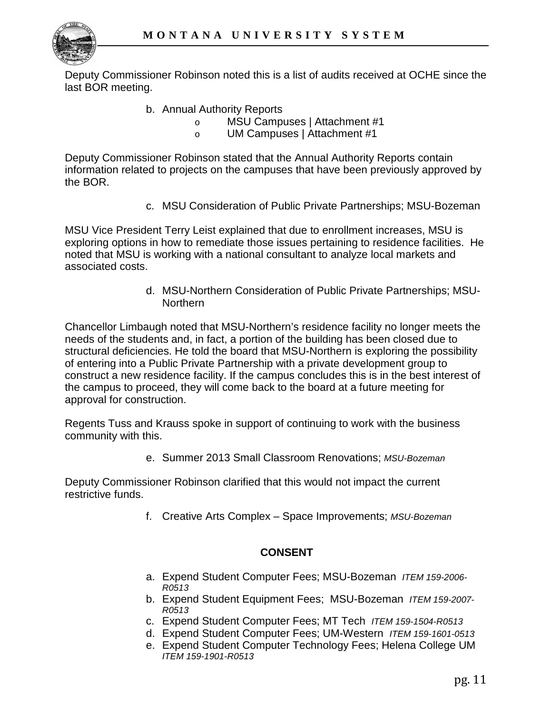

Deputy Commissioner Robinson noted this is a list of audits received at OCHE since the last BOR meeting.

- b. Annual Authority Reports
	- o MSU Campuses | Attachment #1
	- o UM Campuses | Attachment #1

Deputy Commissioner Robinson stated that the Annual Authority Reports contain information related to projects on the campuses that have been previously approved by the BOR.

c. MSU Consideration of Public Private Partnerships; MSU-Bozeman

MSU Vice President Terry Leist explained that due to enrollment increases, MSU is exploring options in how to remediate those issues pertaining to residence facilities. He noted that MSU is working with a national consultant to analyze local markets and associated costs.

> d. MSU-Northern Consideration of Public Private Partnerships; MSU-Northern

Chancellor Limbaugh noted that MSU-Northern's residence facility no longer meets the needs of the students and, in fact, a portion of the building has been closed due to structural deficiencies. He told the board that MSU-Northern is exploring the possibility of entering into a Public Private Partnership with a private development group to construct a new residence facility. If the campus concludes this is in the best interest of the campus to proceed, they will come back to the board at a future meeting for approval for construction.

Regents Tuss and Krauss spoke in support of continuing to work with the business community with this.

e. Summer 2013 Small Classroom Renovations; *MSU-Bozeman* 

Deputy Commissioner Robinson clarified that this would not impact the current restrictive funds.

f. Creative Arts Complex – Space Improvements; *MSU-Bozeman* 

#### **CONSENT**

- a. Expend Student Computer Fees; MSU-Bozeman *ITEM 159-2006- R0513*
- b. Expend Student Equipment Fees; MSU-Bozeman *ITEM 159-2007- R0513*
- c. Expend Student Computer Fees; MT Tech *ITEM 159-1504-R0513*
- d. Expend Student Computer Fees; UM-Western *ITEM 159-1601-0513*
- e. Expend Student Computer Technology Fees; Helena College UM *ITEM 159-1901-R0513*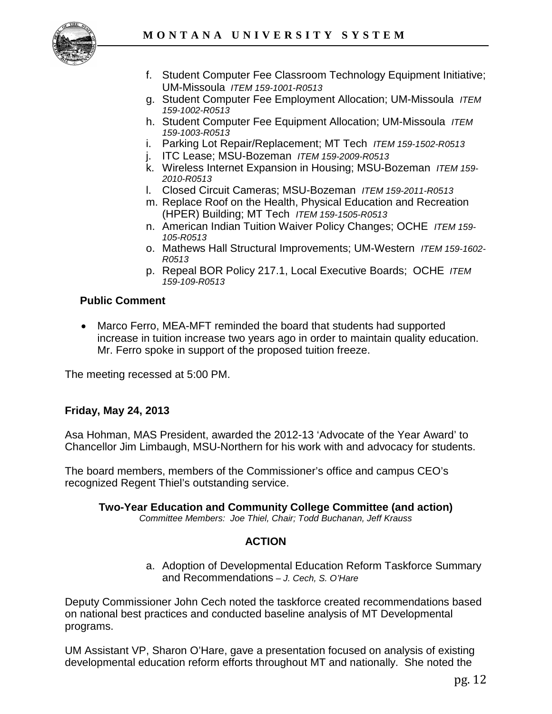

- f. Student Computer Fee Classroom Technology Equipment Initiative; UM-Missoula *ITEM 159-1001-R0513*
- g. Student Computer Fee Employment Allocation; UM-Missoula *ITEM 159-1002-R0513*
- h. Student Computer Fee Equipment Allocation; UM-Missoula *ITEM 159-1003-R0513*
- i. Parking Lot Repair/Replacement; MT Tech *ITEM 159-1502-R0513*
- j. ITC Lease; MSU-Bozeman *ITEM 159-2009-R0513*
- k. Wireless Internet Expansion in Housing; MSU-Bozeman *ITEM 159- 2010-R0513*
- l. Closed Circuit Cameras; MSU-Bozeman *ITEM 159-2011-R0513*
- m. Replace Roof on the Health, Physical Education and Recreation (HPER) Building; MT Tech *ITEM 159-1505-R0513*
- n. American Indian Tuition Waiver Policy Changes; OCHE *ITEM 159- 105-R0513*
- o. Mathews Hall Structural Improvements; UM-Western *ITEM 159-1602- R0513*
- p. Repeal BOR Policy 217.1, Local Executive Boards; OCHE *ITEM 159-109-R0513*

## **Public Comment**

• Marco Ferro, MEA-MFT reminded the board that students had supported increase in tuition increase two years ago in order to maintain quality education. Mr. Ferro spoke in support of the proposed tuition freeze.

The meeting recessed at 5:00 PM.

## **Friday, May 24, 2013**

Asa Hohman, MAS President, awarded the 2012-13 'Advocate of the Year Award' to Chancellor Jim Limbaugh, MSU-Northern for his work with and advocacy for students.

The board members, members of the Commissioner's office and campus CEO's recognized Regent Thiel's outstanding service.

#### **Two-Year Education and Community College Committee (and action)** *Committee Members: Joe Thiel, Chair; Todd Buchanan, Jeff Krauss*

## **ACTION**

a. Adoption of Developmental Education Reform Taskforce Summary and Recommendations *– J. Cech, S. O'Hare*

Deputy Commissioner John Cech noted the taskforce created recommendations based on national best practices and conducted baseline analysis of MT Developmental programs.

UM Assistant VP, Sharon O'Hare, gave a presentation focused on analysis of existing developmental education reform efforts throughout MT and nationally. She noted the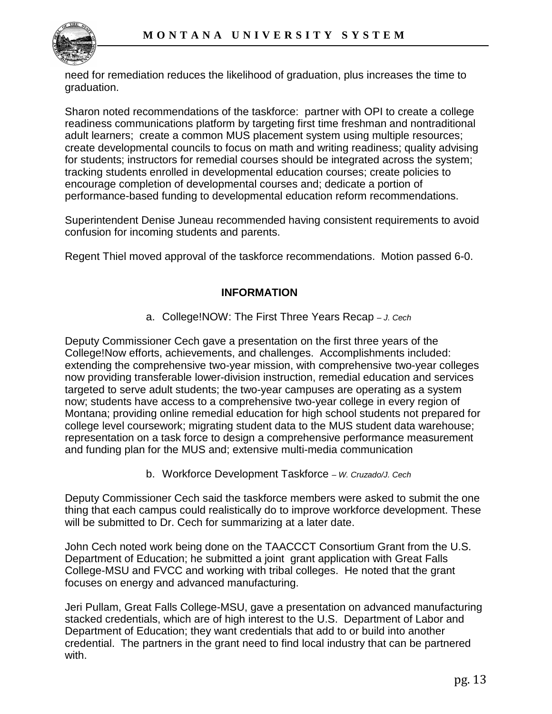

need for remediation reduces the likelihood of graduation, plus increases the time to graduation.

Sharon noted recommendations of the taskforce: partner with OPI to create a college readiness communications platform by targeting first time freshman and nontraditional adult learners; create a common MUS placement system using multiple resources; create developmental councils to focus on math and writing readiness; quality advising for students; instructors for remedial courses should be integrated across the system; tracking students enrolled in developmental education courses; create policies to encourage completion of developmental courses and; dedicate a portion of performance-based funding to developmental education reform recommendations.

Superintendent Denise Juneau recommended having consistent requirements to avoid confusion for incoming students and parents.

Regent Thiel moved approval of the taskforce recommendations. Motion passed 6-0.

# **INFORMATION**

a. College!NOW: The First Three Years Recap *– J. Cech* 

Deputy Commissioner Cech gave a presentation on the first three years of the College!Now efforts, achievements, and challenges. Accomplishments included: extending the comprehensive two-year mission, with comprehensive two-year colleges now providing transferable lower-division instruction, remedial education and services targeted to serve adult students; the two-year campuses are operating as a system now; students have access to a comprehensive two-year college in every region of Montana; providing online remedial education for high school students not prepared for college level coursework; migrating student data to the MUS student data warehouse; representation on a task force to design a comprehensive performance measurement and funding plan for the MUS and; extensive multi-media communication

b. Workforce Development Taskforce *– W. Cruzado/J. Cech*

Deputy Commissioner Cech said the taskforce members were asked to submit the one thing that each campus could realistically do to improve workforce development. These will be submitted to Dr. Cech for summarizing at a later date.

John Cech noted work being done on the TAACCCT Consortium Grant from the U.S. Department of Education; he submitted a joint grant application with Great Falls College-MSU and FVCC and working with tribal colleges. He noted that the grant focuses on energy and advanced manufacturing.

Jeri Pullam, Great Falls College-MSU, gave a presentation on advanced manufacturing stacked credentials, which are of high interest to the U.S. Department of Labor and Department of Education; they want credentials that add to or build into another credential. The partners in the grant need to find local industry that can be partnered with.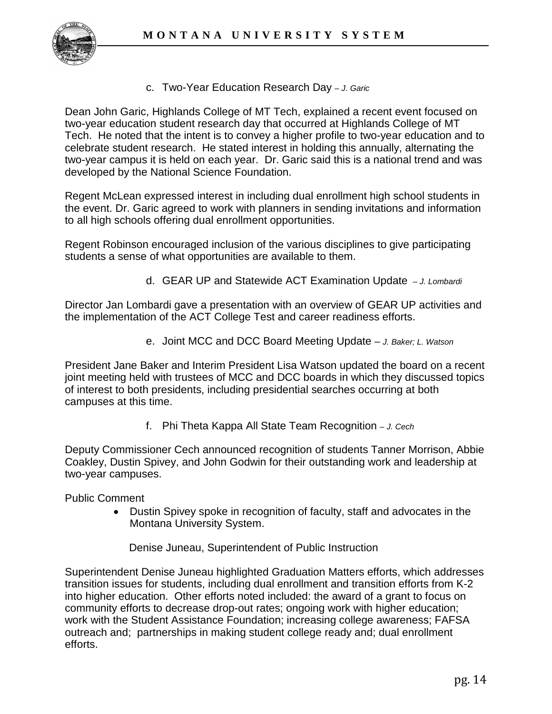

c. Two-Year Education Research Day *– J. Garic* 

Dean John Garic, Highlands College of MT Tech, explained a recent event focused on two-year education student research day that occurred at Highlands College of MT Tech. He noted that the intent is to convey a higher profile to two-year education and to celebrate student research. He stated interest in holding this annually, alternating the two-year campus it is held on each year. Dr. Garic said this is a national trend and was developed by the National Science Foundation.

Regent McLean expressed interest in including dual enrollment high school students in the event. Dr. Garic agreed to work with planners in sending invitations and information to all high schools offering dual enrollment opportunities.

Regent Robinson encouraged inclusion of the various disciplines to give participating students a sense of what opportunities are available to them.

d. GEAR UP and Statewide ACT Examination Update *– J. Lombardi*

Director Jan Lombardi gave a presentation with an overview of GEAR UP activities and the implementation of the ACT College Test and career readiness efforts.

e. Joint MCC and DCC Board Meeting Update – *J. Baker; L. Watson* 

President Jane Baker and Interim President Lisa Watson updated the board on a recent joint meeting held with trustees of MCC and DCC boards in which they discussed topics of interest to both presidents, including presidential searches occurring at both campuses at this time.

f. Phi Theta Kappa All State Team Recognition *– J. Cech* 

Deputy Commissioner Cech announced recognition of students Tanner Morrison, Abbie Coakley, Dustin Spivey, and John Godwin for their outstanding work and leadership at two-year campuses.

Public Comment

• Dustin Spivey spoke in recognition of faculty, staff and advocates in the Montana University System.

Denise Juneau, Superintendent of Public Instruction

Superintendent Denise Juneau highlighted Graduation Matters efforts, which addresses transition issues for students, including dual enrollment and transition efforts from K-2 into higher education. Other efforts noted included: the award of a grant to focus on community efforts to decrease drop-out rates; ongoing work with higher education; work with the Student Assistance Foundation; increasing college awareness; FAFSA outreach and; partnerships in making student college ready and; dual enrollment efforts.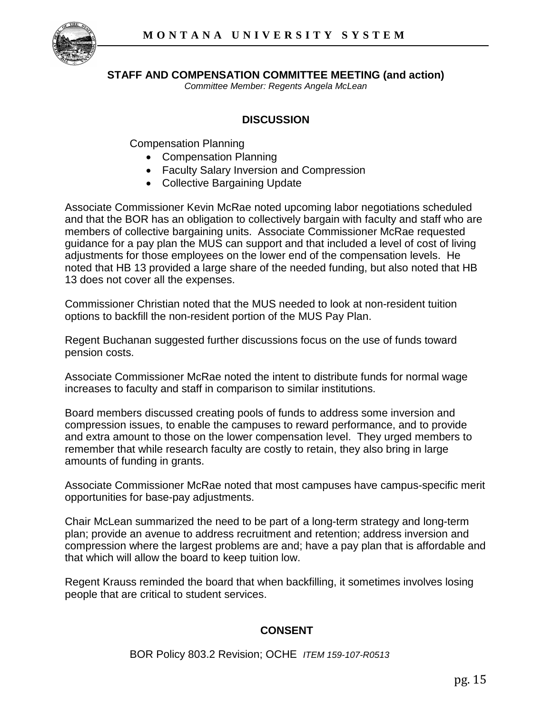

#### **STAFF AND COMPENSATION COMMITTEE MEETING (and action)**

*Committee Member: Regents Angela McLean*

## **DISCUSSION**

Compensation Planning

- Compensation Planning
- Faculty Salary Inversion and Compression
- Collective Bargaining Update

Associate Commissioner Kevin McRae noted upcoming labor negotiations scheduled and that the BOR has an obligation to collectively bargain with faculty and staff who are members of collective bargaining units. Associate Commissioner McRae requested guidance for a pay plan the MUS can support and that included a level of cost of living adjustments for those employees on the lower end of the compensation levels. He noted that HB 13 provided a large share of the needed funding, but also noted that HB 13 does not cover all the expenses.

Commissioner Christian noted that the MUS needed to look at non-resident tuition options to backfill the non-resident portion of the MUS Pay Plan.

Regent Buchanan suggested further discussions focus on the use of funds toward pension costs.

Associate Commissioner McRae noted the intent to distribute funds for normal wage increases to faculty and staff in comparison to similar institutions.

Board members discussed creating pools of funds to address some inversion and compression issues, to enable the campuses to reward performance, and to provide and extra amount to those on the lower compensation level. They urged members to remember that while research faculty are costly to retain, they also bring in large amounts of funding in grants.

Associate Commissioner McRae noted that most campuses have campus-specific merit opportunities for base-pay adjustments.

Chair McLean summarized the need to be part of a long-term strategy and long-term plan; provide an avenue to address recruitment and retention; address inversion and compression where the largest problems are and; have a pay plan that is affordable and that which will allow the board to keep tuition low.

Regent Krauss reminded the board that when backfilling, it sometimes involves losing people that are critical to student services.

#### **CONSENT**

BOR Policy 803.2 Revision; OCHE *ITEM 159-107-R0513*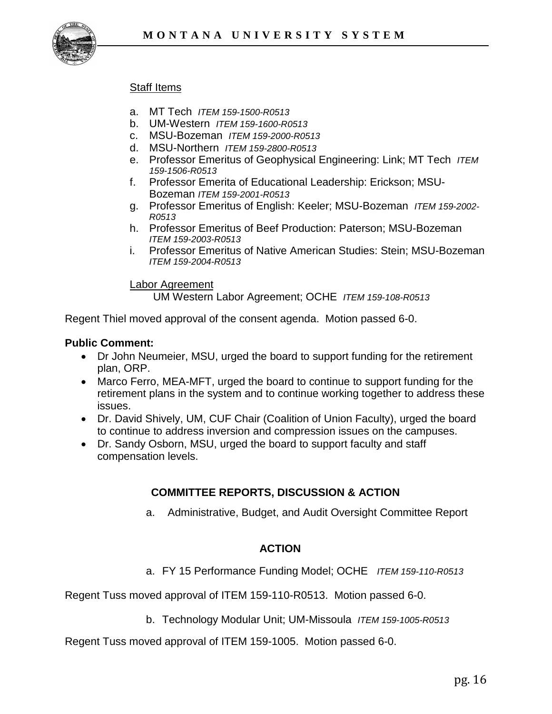

### **Staff Items**

- a. MT Tech *ITEM 159-1500-R0513*
- b. UM-Western *ITEM 159-1600-R0513*
- c. MSU-Bozeman *ITEM 159-2000-R0513*
- d. MSU-Northern *ITEM 159-2800-R0513*
- e. Professor Emeritus of Geophysical Engineering: Link; MT Tech *ITEM 159-1506-R0513*
- f. Professor Emerita of Educational Leadership: Erickson; MSU-Bozeman *ITEM 159-2001-R0513*
- g. Professor Emeritus of English: Keeler; MSU-Bozeman *ITEM 159-2002- R0513*
- h. Professor Emeritus of Beef Production: Paterson; MSU-Bozeman *ITEM 159-2003-R0513*
- i. Professor Emeritus of Native American Studies: Stein; MSU-Bozeman *ITEM 159-2004-R0513*

#### Labor Agreement

UM Western Labor Agreement; OCHE *ITEM 159-108-R0513* 

Regent Thiel moved approval of the consent agenda. Motion passed 6-0.

#### **Public Comment:**

- Dr John Neumeier, MSU, urged the board to support funding for the retirement plan, ORP.
- Marco Ferro, MEA-MFT, urged the board to continue to support funding for the retirement plans in the system and to continue working together to address these issues.
- Dr. David Shively, UM, CUF Chair (Coalition of Union Faculty), urged the board to continue to address inversion and compression issues on the campuses.
- Dr. Sandy Osborn, MSU, urged the board to support faculty and staff compensation levels.

## **COMMITTEE REPORTS, DISCUSSION & ACTION**

a. Administrative, Budget, and Audit Oversight Committee Report

#### **ACTION**

a. FY 15 Performance Funding Model; OCHE *ITEM 159-110-R0513* 

Regent Tuss moved approval of ITEM 159-110-R0513. Motion passed 6-0.

b. Technology Modular Unit; UM-Missoula *ITEM 159-1005-R0513*

Regent Tuss moved approval of ITEM 159-1005. Motion passed 6-0.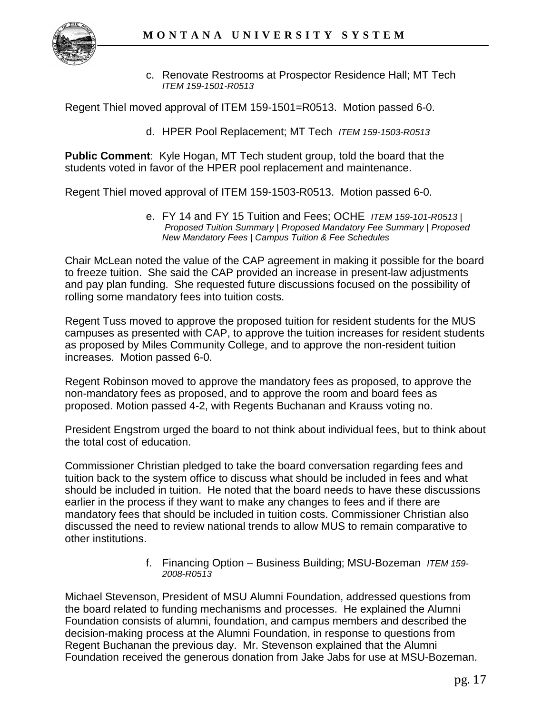

c. Renovate Restrooms at Prospector Residence Hall; MT Tech *ITEM 159-1501-R0513* 

Regent Thiel moved approval of ITEM 159-1501=R0513. Motion passed 6-0.

d. HPER Pool Replacement; MT Tech *ITEM 159-1503-R0513*

**Public Comment**: Kyle Hogan, MT Tech student group, told the board that the students voted in favor of the HPER pool replacement and maintenance.

Regent Thiel moved approval of ITEM 159-1503-R0513. Motion passed 6-0.

e. FY 14 and FY 15 Tuition and Fees; OCHE *ITEM 159-101-R0513 | Proposed Tuition Summary | Proposed Mandatory Fee Summary | Proposed New Mandatory Fees | Campus Tuition & Fee Schedules*

Chair McLean noted the value of the CAP agreement in making it possible for the board to freeze tuition. She said the CAP provided an increase in present-law adjustments and pay plan funding. She requested future discussions focused on the possibility of rolling some mandatory fees into tuition costs.

Regent Tuss moved to approve the proposed tuition for resident students for the MUS campuses as presented with CAP, to approve the tuition increases for resident students as proposed by Miles Community College, and to approve the non-resident tuition increases. Motion passed 6-0.

Regent Robinson moved to approve the mandatory fees as proposed, to approve the non-mandatory fees as proposed, and to approve the room and board fees as proposed. Motion passed 4-2, with Regents Buchanan and Krauss voting no.

President Engstrom urged the board to not think about individual fees, but to think about the total cost of education.

Commissioner Christian pledged to take the board conversation regarding fees and tuition back to the system office to discuss what should be included in fees and what should be included in tuition. He noted that the board needs to have these discussions earlier in the process if they want to make any changes to fees and if there are mandatory fees that should be included in tuition costs. Commissioner Christian also discussed the need to review national trends to allow MUS to remain comparative to other institutions.

> f. Financing Option – Business Building; MSU-Bozeman *ITEM 159- 2008-R0513*

Michael Stevenson, President of MSU Alumni Foundation, addressed questions from the board related to funding mechanisms and processes. He explained the Alumni Foundation consists of alumni, foundation, and campus members and described the decision-making process at the Alumni Foundation, in response to questions from Regent Buchanan the previous day. Mr. Stevenson explained that the Alumni Foundation received the generous donation from Jake Jabs for use at MSU-Bozeman.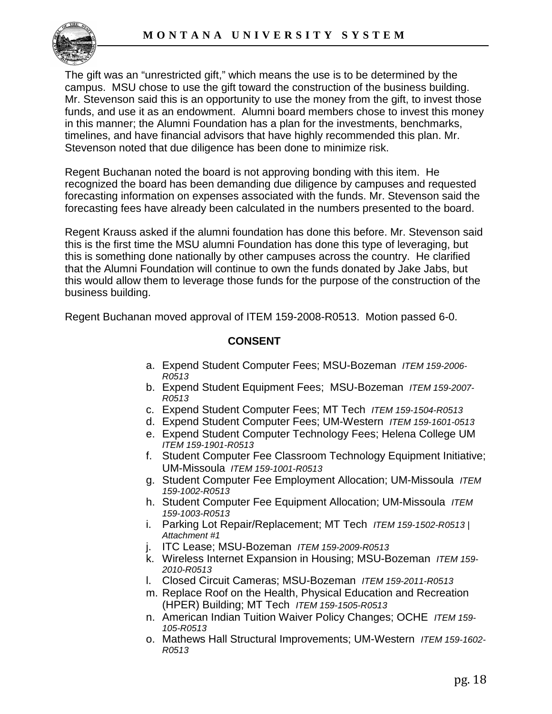

The gift was an "unrestricted gift," which means the use is to be determined by the campus. MSU chose to use the gift toward the construction of the business building. Mr. Stevenson said this is an opportunity to use the money from the gift, to invest those funds, and use it as an endowment. Alumni board members chose to invest this money in this manner; the Alumni Foundation has a plan for the investments, benchmarks, timelines, and have financial advisors that have highly recommended this plan. Mr. Stevenson noted that due diligence has been done to minimize risk.

Regent Buchanan noted the board is not approving bonding with this item. He recognized the board has been demanding due diligence by campuses and requested forecasting information on expenses associated with the funds. Mr. Stevenson said the forecasting fees have already been calculated in the numbers presented to the board.

Regent Krauss asked if the alumni foundation has done this before. Mr. Stevenson said this is the first time the MSU alumni Foundation has done this type of leveraging, but this is something done nationally by other campuses across the country. He clarified that the Alumni Foundation will continue to own the funds donated by Jake Jabs, but this would allow them to leverage those funds for the purpose of the construction of the business building.

Regent Buchanan moved approval of ITEM 159-2008-R0513. Motion passed 6-0.

#### **CONSENT**

- a. Expend Student Computer Fees; MSU-Bozeman *ITEM 159-2006- R0513*
- b. Expend Student Equipment Fees; MSU-Bozeman *ITEM 159-2007- R0513*
- c. Expend Student Computer Fees; MT Tech *ITEM 159-1504-R0513*
- d. Expend Student Computer Fees; UM-Western *ITEM 159-1601-0513*
- e. Expend Student Computer Technology Fees; Helena College UM *ITEM 159-1901-R0513*
- f. Student Computer Fee Classroom Technology Equipment Initiative; UM-Missoula *ITEM 159-1001-R0513*
- g. Student Computer Fee Employment Allocation; UM-Missoula *ITEM 159-1002-R0513*
- h. Student Computer Fee Equipment Allocation; UM-Missoula *ITEM 159-1003-R0513*
- i. Parking Lot Repair/Replacement; MT Tech *ITEM 159-1502-R0513 | Attachment #1*
- j. ITC Lease; MSU-Bozeman *ITEM 159-2009-R0513*
- k. Wireless Internet Expansion in Housing; MSU-Bozeman *ITEM 159- 2010-R0513*
- l. Closed Circuit Cameras; MSU-Bozeman *ITEM 159-2011-R0513*
- m. Replace Roof on the Health, Physical Education and Recreation (HPER) Building; MT Tech *ITEM 159-1505-R0513*
- n. American Indian Tuition Waiver Policy Changes; OCHE *ITEM 159- 105-R0513*
- o. Mathews Hall Structural Improvements; UM-Western *ITEM 159-1602- R0513*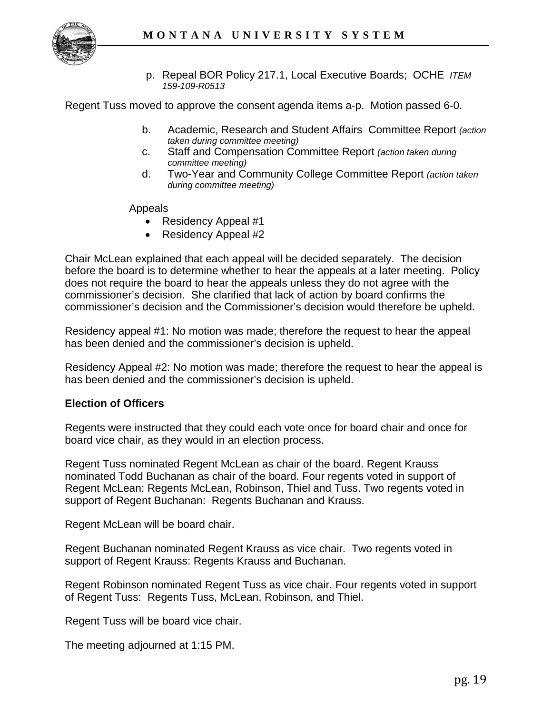

p. Repeal BOR Policy 217.1, Local Executive Boards; OCHE *ITEM 159-109-R0513*

Regent Tuss moved to approve the consent agenda items a-p. Motion passed 6-0.

- b. Academic, Research and Student Affairs Committee Report *(action taken during committee meeting)*
- c. Staff and Compensation Committee Report *(action taken during committee meeting)*
- d. Two-Year and Community College Committee Report *(action taken during committee meeting)*

Appeals

- Residency Appeal #1
- Residency Appeal #2

Chair McLean explained that each appeal will be decided separately. The decision before the board is to determine whether to hear the appeals at a later meeting. Policy does not require the board to hear the appeals unless they do not agree with the commissioner's decision. She clarified that lack of action by board confirms the commissioner's decision and the Commissioner's decision would therefore be upheld.

Residency appeal #1: No motion was made; therefore the request to hear the appeal has been denied and the commissioner's decision is upheld.

Residency Appeal #2: No motion was made; therefore the request to hear the appeal is has been denied and the commissioner's decision is upheld.

#### **Election of Officers**

Regents were instructed that they could each vote once for board chair and once for board vice chair, as they would in an election process.

Regent Tuss nominated Regent McLean as chair of the board. Regent Krauss nominated Todd Buchanan as chair of the board. Four regents voted in support of Regent McLean: Regents McLean, Robinson, Thiel and Tuss. Two regents voted in support of Regent Buchanan: Regents Buchanan and Krauss.

Regent McLean will be board chair.

Regent Buchanan nominated Regent Krauss as vice chair. Two regents voted in support of Regent Krauss: Regents Krauss and Buchanan.

Regent Robinson nominated Regent Tuss as vice chair. Four regents voted in support of Regent Tuss: Regents Tuss, McLean, Robinson, and Thiel.

Regent Tuss will be board vice chair.

The meeting adjourned at 1:15 PM.